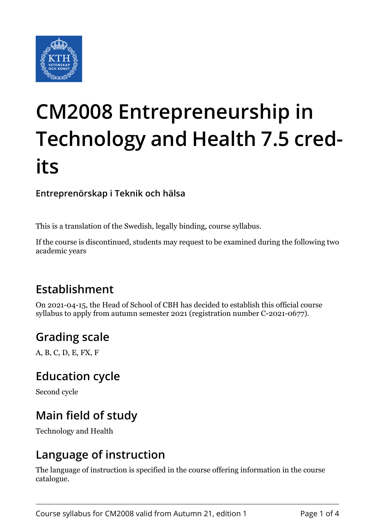

# **CM2008 Entrepreneurship in Technology and Health 7.5 credits**

**Entreprenörskap i Teknik och hälsa**

This is a translation of the Swedish, legally binding, course syllabus.

If the course is discontinued, students may request to be examined during the following two academic years

# **Establishment**

On 2021-04-15, the Head of School of CBH has decided to establish this official course syllabus to apply from autumn semester 2021 (registration number C-2021-0677).

# **Grading scale**

A, B, C, D, E, FX, F

#### **Education cycle**

Second cycle

## **Main field of study**

Technology and Health

## **Language of instruction**

The language of instruction is specified in the course offering information in the course catalogue.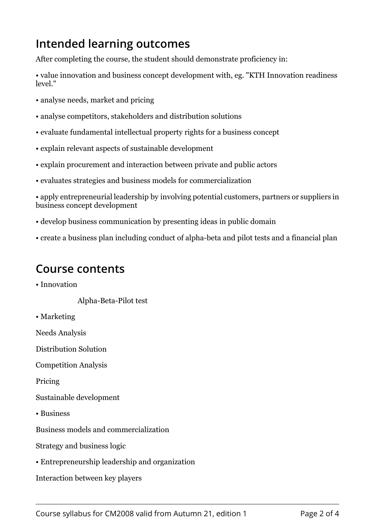# **Intended learning outcomes**

After completing the course, the student should demonstrate proficiency in:

• value innovation and business concept development with, eg. "KTH Innovation readiness  $longel$ ."

- analyse needs, market and pricing
- analyse competitors, stakeholders and distribution solutions
- evaluate fundamental intellectual property rights for a business concept
- explain relevant aspects of sustainable development
- explain procurement and interaction between private and public actors
- evaluates strategies and business models for commercialization

• apply entrepreneurial leadership by involving potential customers, partners or suppliers in business concept development

- develop business communication by presenting ideas in public domain
- create a business plan including conduct of alpha-beta and pilot tests and a financial plan

#### **Course contents**

• Innovation

Alpha-Beta-Pilot test

• Marketing

Needs Analysis

Distribution Solution

Competition Analysis

Pricing

Sustainable development

• Business

Business models and commercialization

Strategy and business logic

• Entrepreneurship leadership and organization

Interaction between key players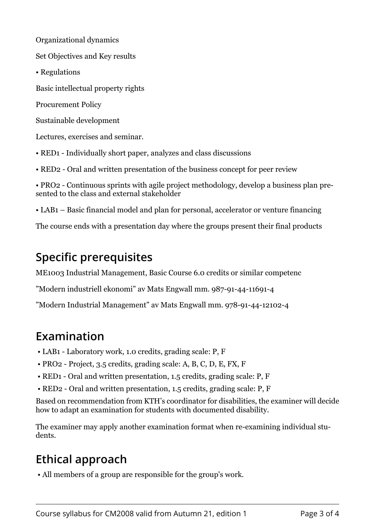Organizational dynamics

Set Objectives and Key results

• Regulations

Basic intellectual property rights

Procurement Policy

Sustainable development

Lectures, exercises and seminar.

• RED1 - Individually short paper, analyzes and class discussions

• RED2 - Oral and written presentation of the business concept for peer review

• PRO2 - Continuous sprints with agile project methodology, develop a business plan presented to the class and external stakeholder

• LAB1 – Basic financial model and plan for personal, accelerator or venture financing

The course ends with a presentation day where the groups present their final products

## **Specific prerequisites**

ME1003 Industrial Management, Basic Course 6.0 credits or similar competenc

"Modern industriell ekonomi" av Mats Engwall mm. 987-91-44-11691-4

"Modern Industrial Management" av Mats Engwall mm. 978-91-44-12102-4

#### **Examination**

- LAB1 Laboratory work, 1.0 credits, grading scale: P, F
- PRO2 Project, 3.5 credits, grading scale: A, B, C, D, E, FX, F
- RED1 Oral and written presentation, 1.5 credits, grading scale: P, F
- RED2 Oral and written presentation, 1.5 credits, grading scale: P, F

Based on recommendation from KTH's coordinator for disabilities, the examiner will decide how to adapt an examination for students with documented disability.

The examiner may apply another examination format when re-examining individual students.

# **Ethical approach**

• All members of a group are responsible for the group's work.